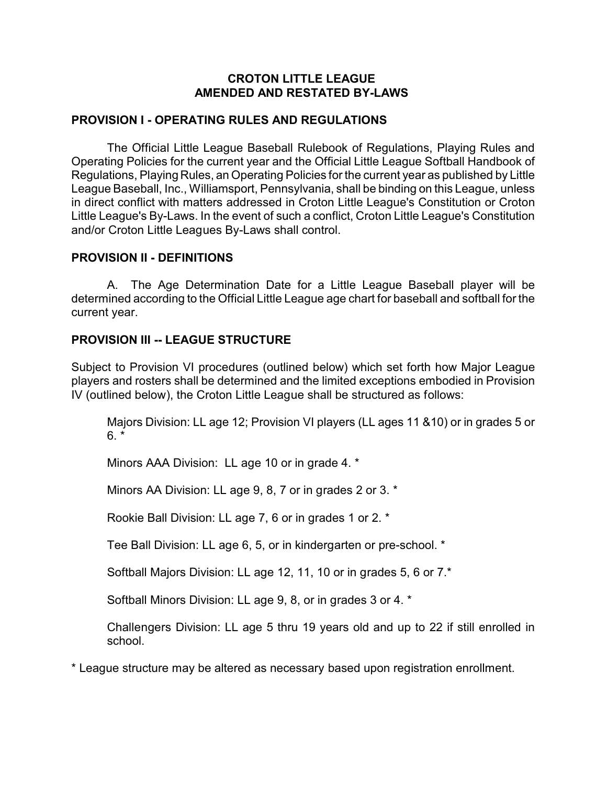#### **CROTON LITTLE LEAGUE AMENDED AND RESTATED BY-LAWS**

#### **PROVISION I - OPERATING RULES AND REGULATIONS**

The Official Little League Baseball Rulebook of Regulations, Playing Rules and Operating Policies for the current year and the Official Little League Softball Handbook of Regulations, Playing Rules, an Operating Policies for the current year as published by Little League Baseball, Inc., Williamsport, Pennsylvania, shall be binding on this League, unless in direct conflict with matters addressed in Croton Little League's Constitution or Croton Little League's By-Laws. In the event of such a conflict, Croton Little League's Constitution and/or Croton Little Leagues By-Laws shall control.

#### **PROVISION II - DEFINITIONS**

A. The Age Determination Date for a Little League Baseball player will be determined according to the Official Little League age chart for baseball and softball for the current year.

#### **PROVISION III -- LEAGUE STRUCTURE**

Subject to Provision VI procedures (outlined below) which set forth how Major League players and rosters shall be determined and the limited exceptions embodied in Provision IV (outlined below), the Croton Little League shall be structured as follows:

Majors Division: LL age 12; Provision VI players (LL ages 11 &10) or in grades 5 or  $6. *$ 

Minors AAA Division: LL age 10 or in grade 4. \*

Minors AA Division: LL age 9, 8, 7 or in grades 2 or 3. \*

Rookie Ball Division: LL age 7, 6 or in grades 1 or 2. \*

Tee Ball Division: LL age 6, 5, or in kindergarten or pre-school. \*

Softball Majors Division: LL age 12, 11, 10 or in grades 5, 6 or 7.\*

Softball Minors Division: LL age 9, 8, or in grades 3 or 4. \*

Challengers Division: LL age 5 thru 19 years old and up to 22 if still enrolled in school.

\* League structure may be altered as necessary based upon registration enrollment.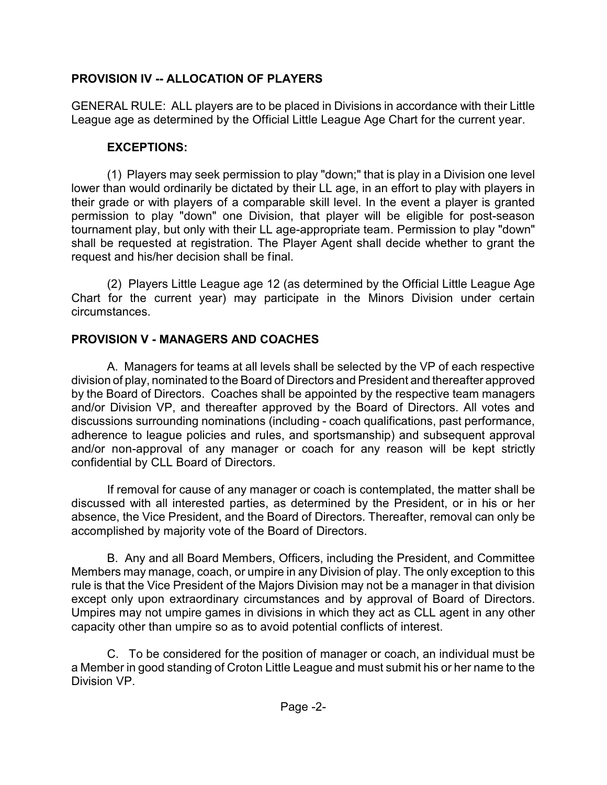### **PROVISION IV -- ALLOCATION OF PLAYERS**

GENERAL RULE: ALL players are to be placed in Divisions in accordance with their Little League age as determined by the Official Little League Age Chart for the current year.

### **EXCEPTIONS:**

(1) Players may seek permission to play "down;" that is play in a Division one level lower than would ordinarily be dictated by their LL age, in an effort to play with players in their grade or with players of a comparable skill level. In the event a player is granted permission to play "down" one Division, that player will be eligible for post-season tournament play, but only with their LL age-appropriate team. Permission to play "down" shall be requested at registration. The Player Agent shall decide whether to grant the request and his/her decision shall be final.

(2) Players Little League age 12 (as determined by the Official Little League Age Chart for the current year) may participate in the Minors Division under certain circumstances.

# **PROVISION V - MANAGERS AND COACHES**

A. Managers for teams at all levels shall be selected by the VP of each respective division of play, nominated to the Board of Directors and President and thereafter approved by the Board of Directors. Coaches shall be appointed by the respective team managers and/or Division VP, and thereafter approved by the Board of Directors. All votes and discussions surrounding nominations (including - coach qualifications, past performance, adherence to league policies and rules, and sportsmanship) and subsequent approval and/or non-approval of any manager or coach for any reason will be kept strictly confidential by CLL Board of Directors.

If removal for cause of any manager or coach is contemplated, the matter shall be discussed with all interested parties, as determined by the President, or in his or her absence, the Vice President, and the Board of Directors. Thereafter, removal can only be accomplished by majority vote of the Board of Directors.

B. Any and all Board Members, Officers, including the President, and Committee Members may manage, coach, or umpire in any Division of play. The only exception to this rule is that the Vice President of the Majors Division may not be a manager in that division except only upon extraordinary circumstances and by approval of Board of Directors. Umpires may not umpire games in divisions in which they act as CLL agent in any other capacity other than umpire so as to avoid potential conflicts of interest.

C. To be considered for the position of manager or coach, an individual must be a Member in good standing of Croton Little League and must submit his or her name to the Division VP.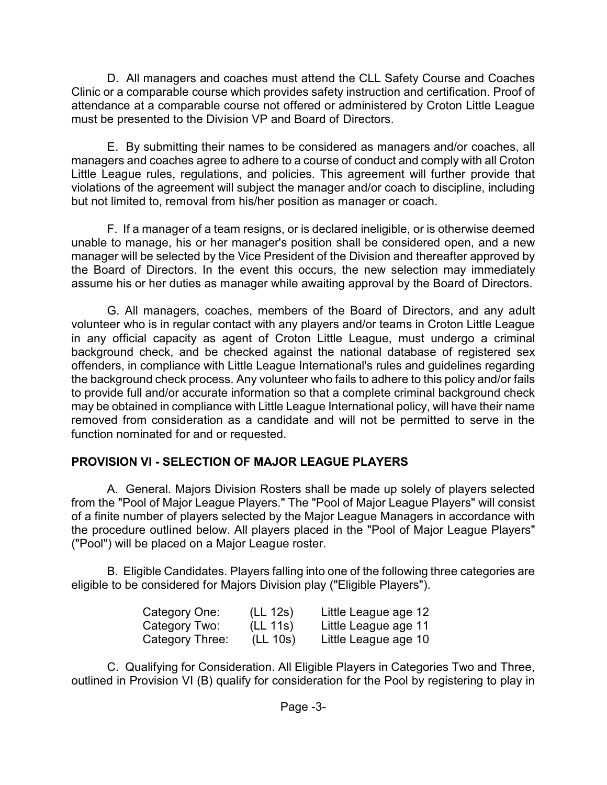D. All managers and coaches must attend the CLL Safety Course and Coaches Clinic or a comparable course which provides safety instruction and certification. Proof of attendance at a comparable course not offered or administered by Croton Little League must be presented to the Division VP and Board of Directors.

E. By submitting their names to be considered as managers and/or coaches, all managers and coaches agree to adhere to a course of conduct and comply with all Croton Little League rules, regulations, and policies. This agreement will further provide that violations of the agreement will subject the manager and/or coach to discipline, including but not limited to, removal from his/her position as manager or coach.

F. If a manager of a team resigns, or is declared ineligible, or is otherwise deemed unable to manage, his or her manager's position shall be considered open, and a new manager will be selected by the Vice President of the Division and thereafter approved by the Board of Directors. In the event this occurs, the new selection may immediately assume his or her duties as manager while awaiting approval by the Board of Directors.

G. All managers, coaches, members of the Board of Directors, and any adult volunteer who is in regular contact with any players and/or teams in Croton Little League in any official capacity as agent of Croton Little League, must undergo a criminal background check, and be checked against the national database of registered sex offenders, in compliance with Little League International's rules and guidelines regarding the background check process. Any volunteer who fails to adhere to this policy and/or fails to provide full and/or accurate information so that a complete criminal background check may be obtained in compliance with Little League International policy, will have their name removed from consideration as a candidate and will not be permitted to serve in the function nominated for and or requested.

## **PROVISION VI - SELECTION OF MAJOR LEAGUE PLAYERS**

A. General. Majors Division Rosters shall be made up solely of players selected from the "Pool of Major League Players." The "Pool of Major League Players" will consist of a finite number of players selected by the Major League Managers in accordance with the procedure outlined below. All players placed in the "Pool of Major League Players" ("Pool") will be placed on a Major League roster.

B. Eligible Candidates. Players falling into one of the following three categories are eligible to be considered for Majors Division play ("Eligible Players").

| Category One:   | (LL 12s) | Little League age 12 |
|-----------------|----------|----------------------|
| Category Two:   | (LL 11s) | Little League age 11 |
| Category Three: | (LL 10s) | Little League age 10 |

C. Qualifying for Consideration. All Eligible Players in Categories Two and Three, outlined in Provision VI (B) qualify for consideration for the Pool by registering to play in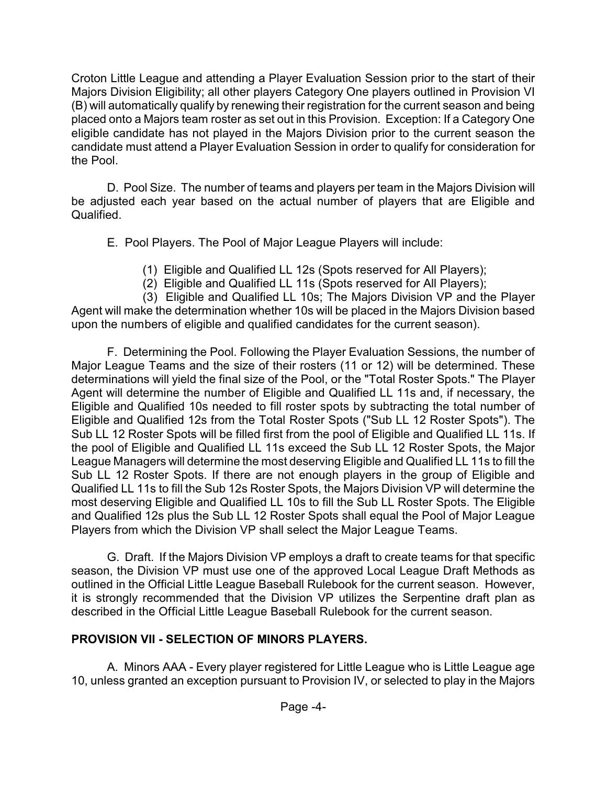Croton Little League and attending a Player Evaluation Session prior to the start of their Majors Division Eligibility; all other players Category One players outlined in Provision VI (B) will automatically qualify by renewing their registration for the current season and being placed onto a Majors team roster as set out in this Provision. Exception: If a Category One eligible candidate has not played in the Majors Division prior to the current season the candidate must attend a Player Evaluation Session in order to qualify for consideration for the Pool.

D. Pool Size. The number of teams and players per team in the Majors Division will be adjusted each year based on the actual number of players that are Eligible and Qualified.

E. Pool Players. The Pool of Major League Players will include:

- (1) Eligible and Qualified LL 12s (Spots reserved for All Players);
- (2) Eligible and Qualified LL 11s (Spots reserved for All Players);

(3) Eligible and Qualified LL 10s; The Majors Division VP and the Player Agent will make the determination whether 10s will be placed in the Majors Division based upon the numbers of eligible and qualified candidates for the current season).

F. Determining the Pool. Following the Player Evaluation Sessions, the number of Major League Teams and the size of their rosters (11 or 12) will be determined. These determinations will yield the final size of the Pool, or the "Total Roster Spots." The Player Agent will determine the number of Eligible and Qualified LL 11s and, if necessary, the Eligible and Qualified 10s needed to fill roster spots by subtracting the total number of Eligible and Qualified 12s from the Total Roster Spots ("Sub LL 12 Roster Spots"). The Sub LL 12 Roster Spots will be filled first from the pool of Eligible and Qualified LL 11s. If the pool of Eligible and Qualified LL 11s exceed the Sub LL 12 Roster Spots, the Major League Managers will determine the most deserving Eligible and Qualified LL 11s to fill the Sub LL 12 Roster Spots. If there are not enough players in the group of Eligible and Qualified LL 11s to fill the Sub 12s Roster Spots, the Majors Division VP will determine the most deserving Eligible and Qualified LL 10s to fill the Sub LL Roster Spots. The Eligible and Qualified 12s plus the Sub LL 12 Roster Spots shall equal the Pool of Major League Players from which the Division VP shall select the Major League Teams.

G. Draft. If the Majors Division VP employs a draft to create teams for that specific season, the Division VP must use one of the approved Local League Draft Methods as outlined in the Official Little League Baseball Rulebook for the current season. However, it is strongly recommended that the Division VP utilizes the Serpentine draft plan as described in the Official Little League Baseball Rulebook for the current season.

## **PROVISION VII - SELECTION OF MINORS PLAYERS.**

A. Minors AAA - Every player registered for Little League who is Little League age 10, unless granted an exception pursuant to Provision IV, or selected to play in the Majors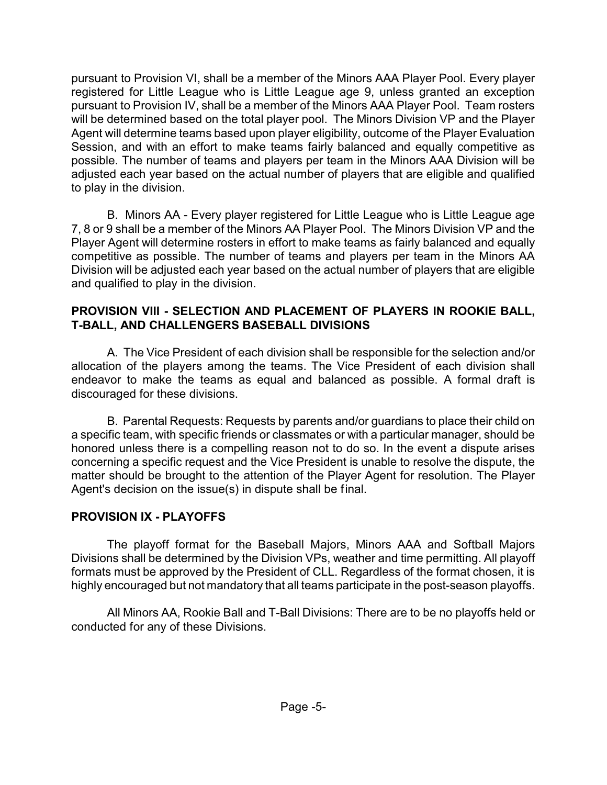pursuant to Provision VI, shall be a member of the Minors AAA Player Pool. Every player registered for Little League who is Little League age 9, unless granted an exception pursuant to Provision IV, shall be a member of the Minors AAA Player Pool. Team rosters will be determined based on the total player pool. The Minors Division VP and the Player Agent will determine teams based upon player eligibility, outcome of the Player Evaluation Session, and with an effort to make teams fairly balanced and equally competitive as possible. The number of teams and players per team in the Minors AAA Division will be adjusted each year based on the actual number of players that are eligible and qualified to play in the division.

B. Minors AA - Every player registered for Little League who is Little League age 7, 8 or 9 shall be a member of the Minors AA Player Pool. The Minors Division VP and the Player Agent will determine rosters in effort to make teams as fairly balanced and equally competitive as possible. The number of teams and players per team in the Minors AA Division will be adjusted each year based on the actual number of players that are eligible and qualified to play in the division.

### **PROVISION VIII - SELECTION AND PLACEMENT OF PLAYERS IN ROOKIE BALL, T-BALL, AND CHALLENGERS BASEBALL DIVISIONS**

A. The Vice President of each division shall be responsible for the selection and/or allocation of the players among the teams. The Vice President of each division shall endeavor to make the teams as equal and balanced as possible. A formal draft is discouraged for these divisions.

B. Parental Requests: Requests by parents and/or guardians to place their child on a specific team, with specific friends or classmates or with a particular manager, should be honored unless there is a compelling reason not to do so. In the event a dispute arises concerning a specific request and the Vice President is unable to resolve the dispute, the matter should be brought to the attention of the Player Agent for resolution. The Player Agent's decision on the issue(s) in dispute shall be final.

## **PROVISION IX - PLAYOFFS**

The playoff format for the Baseball Majors, Minors AAA and Softball Majors Divisions shall be determined by the Division VPs, weather and time permitting. All playoff formats must be approved by the President of CLL. Regardless of the format chosen, it is highly encouraged but not mandatory that all teams participate in the post-season playoffs.

All Minors AA, Rookie Ball and T-Ball Divisions: There are to be no playoffs held or conducted for any of these Divisions.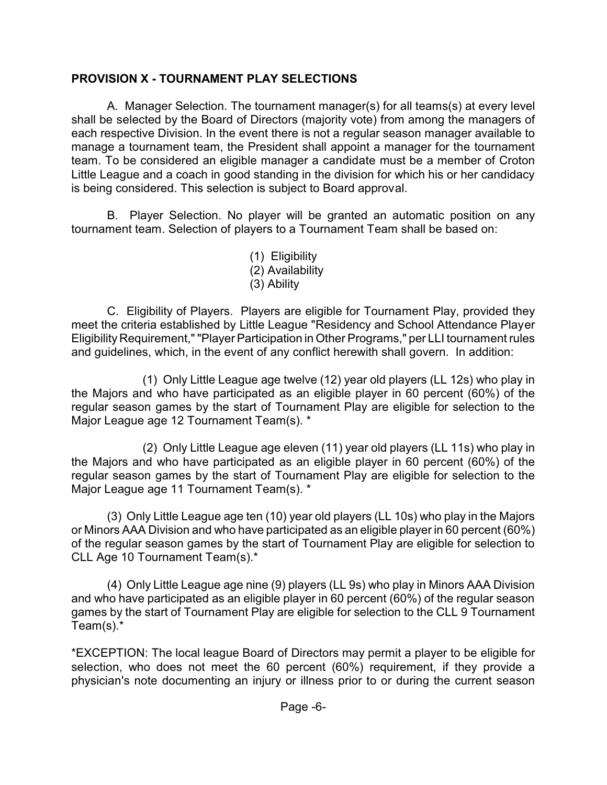### **PROVISION X - TOURNAMENT PLAY SELECTIONS**

A. Manager Selection. The tournament manager(s) for all teams(s) at every level shall be selected by the Board of Directors (majority vote) from among the managers of each respective Division. In the event there is not a regular season manager available to manage a tournament team, the President shall appoint a manager for the tournament team. To be considered an eligible manager a candidate must be a member of Croton Little League and a coach in good standing in the division for which his or her candidacy is being considered. This selection is subject to Board approval.

B. Player Selection. No player will be granted an automatic position on any tournament team. Selection of players to a Tournament Team shall be based on:

> (1) Eligibility (2) Availability (3) Ability

C. Eligibility of Players. Players are eligible for Tournament Play, provided they meet the criteria established by Little League "Residency and School Attendance Player Eligibility Requirement,""Player Participation in Other Programs," per LLI tournament rules and guidelines, which, in the event of any conflict herewith shall govern. In addition:

(1) Only Little League age twelve (12) year old players (LL 12s) who play in the Majors and who have participated as an eligible player in 60 percent (60%) of the regular season games by the start of Tournament Play are eligible for selection to the Major League age 12 Tournament Team(s). \*

(2) Only Little League age eleven (11) year old players (LL 11s) who play in the Majors and who have participated as an eligible player in 60 percent (60%) of the regular season games by the start of Tournament Play are eligible for selection to the Major League age 11 Tournament Team(s). \*

(3) Only Little League age ten (10) year old players (LL 10s) who play in the Majors or Minors AAA Division and who have participated as an eligible player in 60 percent (60%) of the regular season games by the start of Tournament Play are eligible for selection to CLL Age 10 Tournament Team(s).\*

(4) Only Little League age nine (9) players (LL 9s) who play in Minors AAA Division and who have participated as an eligible player in 60 percent (60%) of the regular season games by the start of Tournament Play are eligible for selection to the CLL 9 Tournament Team(s).\*

\*EXCEPTION: The local league Board of Directors may permit a player to be eligible for selection, who does not meet the 60 percent (60%) requirement, if they provide a physician's note documenting an injury or illness prior to or during the current season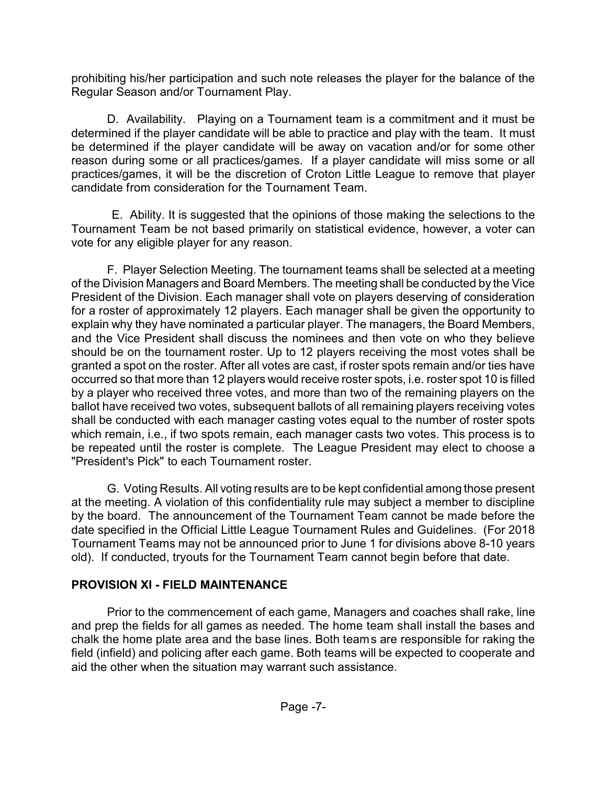prohibiting his/her participation and such note releases the player for the balance of the Regular Season and/or Tournament Play.

D. Availability. Playing on a Tournament team is a commitment and it must be determined if the player candidate will be able to practice and play with the team. It must be determined if the player candidate will be away on vacation and/or for some other reason during some or all practices/games. If a player candidate will miss some or all practices/games, it will be the discretion of Croton Little League to remove that player candidate from consideration for the Tournament Team.

 E. Ability. It is suggested that the opinions of those making the selections to the Tournament Team be not based primarily on statistical evidence, however, a voter can vote for any eligible player for any reason.

F. Player Selection Meeting. The tournament teams shall be selected at a meeting of the Division Managers and Board Members. The meeting shall be conducted by the Vice President of the Division. Each manager shall vote on players deserving of consideration for a roster of approximately 12 players. Each manager shall be given the opportunity to explain why they have nominated a particular player. The managers, the Board Members, and the Vice President shall discuss the nominees and then vote on who they believe should be on the tournament roster. Up to 12 players receiving the most votes shall be granted a spot on the roster. After all votes are cast, if roster spots remain and/or ties have occurred so that more than 12 players would receive roster spots, i.e. roster spot 10 is filled by a player who received three votes, and more than two of the remaining players on the ballot have received two votes, subsequent ballots of all remaining players receiving votes shall be conducted with each manager casting votes equal to the number of roster spots which remain, i.e., if two spots remain, each manager casts two votes. This process is to be repeated until the roster is complete. The League President may elect to choose a "President's Pick" to each Tournament roster.

G. Voting Results. All voting results are to be kept confidential among those present at the meeting. A violation of this confidentiality rule may subject a member to discipline by the board. The announcement of the Tournament Team cannot be made before the date specified in the Official Little League Tournament Rules and Guidelines. (For 2018 Tournament Teams may not be announced prior to June 1 for divisions above 8-10 years old). If conducted, tryouts for the Tournament Team cannot begin before that date.

## **PROVISION XI - FIELD MAINTENANCE**

Prior to the commencement of each game, Managers and coaches shall rake, line and prep the fields for all games as needed. The home team shall install the bases and chalk the home plate area and the base lines. Both teams are responsible for raking the field (infield) and policing after each game. Both teams will be expected to cooperate and aid the other when the situation may warrant such assistance.